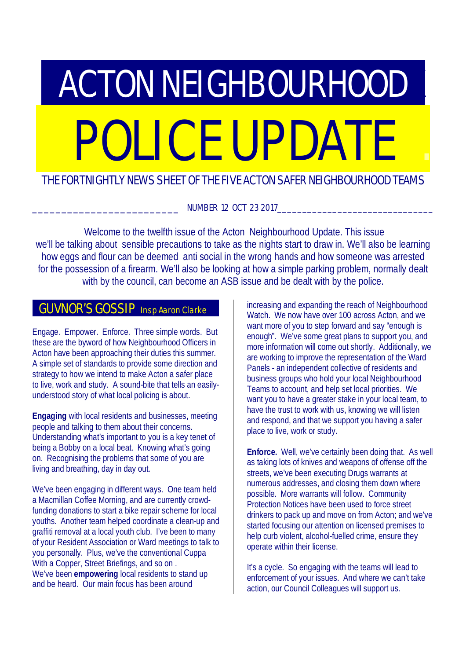# **ACTON NEIGHBOURHOOD** POLICE UPDATE

## THE FORTNIGHTLY NEWS SHEET OF THE FIVE ACTON SAFER NEIGHBOURHOOD TEAMS

NUMBER 12 OCT 23 2017

 Welcome to the twelfth issue of the Acton Neighbourhood Update. This issue we'll be talking about sensible precautions to take as the nights start to draw in. We'll also be learning how eggs and flour can be deemed anti social in the wrong hands and how someone was arrested for the possession of a firearm. We'll also be looking at how a simple parking problem, normally dealt with by the council, can become an ASB issue and be dealt with by the police.

## **GUVNOR'S GOSSIP** Insp Aaron Clarke

Engage. Empower. Enforce. Three simple words. But these are the byword of how Neighbourhood Officers in Acton have been approaching their duties this summer. A simple set of standards to provide some direction and strategy to how we intend to make Acton a safer place to live, work and study. A sound-bite that tells an easilyunderstood story of what local policing is about.

**Engaging** with local residents and businesses, meeting people and talking to them about their concerns. Understanding what's important to you is a key tenet of being a Bobby on a local beat. Knowing what's going on. Recognising the problems that some of you are living and breathing, day in day out.

We've been engaging in different ways. One team held a Macmillan Coffee Morning, and are currently crowdfunding donations to start a bike repair scheme for local youths. Another team helped coordinate a clean-up and graffiti removal at a local youth club. I've been to many of your Resident Association or Ward meetings to talk to you personally. Plus, we've the conventional Cuppa With a Copper, Street Briefings, and so on. We've been **empowering** local residents to stand up and be heard. Our main focus has been around

increasing and expanding the reach of Neighbourhood Watch. We now have over 100 across Acton, and we want more of you to step forward and say "enough is enough". We've some great plans to support you, and more information will come out shortly. Additionally, we are working to improve the representation of the Ward Panels - an independent collective of residents and business groups who hold your local Neighbourhood Teams to account, and help set local priorities. We want you to have a greater stake in your local team, to have the trust to work with us, knowing we will listen and respond, and that we support you having a safer place to live, work or study.

**Enforce.** Well, we've certainly been doing that. As well as taking lots of knives and weapons of offense off the streets, we've been executing Drugs warrants at numerous addresses, and closing them down where possible. More warrants will follow. Community Protection Notices have been used to force street drinkers to pack up and move on from Acton; and we've started focusing our attention on licensed premises to help curb violent, alcohol-fuelled crime, ensure they operate within their license.

It's a cycle. So engaging with the teams will lead to enforcement of your issues. And where we can't take action, our Council Colleagues will support us.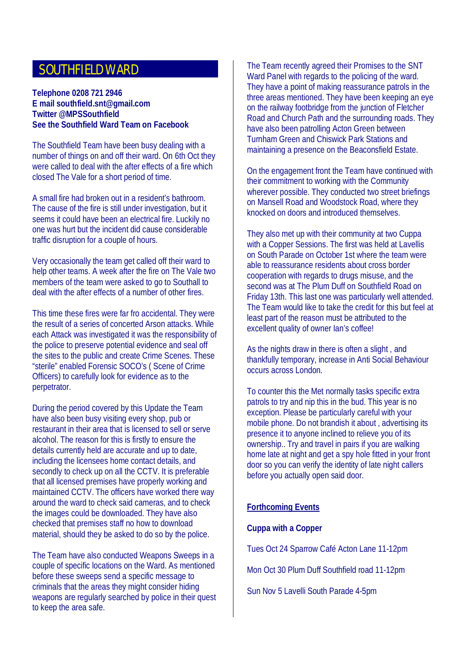## SOUTHFIELD WARD

#### **Telephone 0208 721 2946 E mail southfield.snt@gmail.com Twitter @MPSSouthfield See the Southfield Ward Team on Facebook**

The Southfield Team have been busy dealing with a number of things on and off their ward. On 6th Oct they were called to deal with the after effects of a fire which closed The Vale for a short period of time.

A small fire had broken out in a resident's bathroom. The cause of the fire is still under investigation, but it seems it could have been an electrical fire. Luckily no one was hurt but the incident did cause considerable traffic disruption for a couple of hours.

Very occasionally the team get called off their ward to help other teams. A week after the fire on The Vale two members of the team were asked to go to Southall to deal with the after effects of a number of other fires.

This time these fires were far fro accidental. They were the result of a series of concerted Arson attacks. While each Attack was investigated it was the responsibility of the police to preserve potential evidence and seal off the sites to the public and create Crime Scenes. These "sterile" enabled Forensic SOCO's ( Scene of Crime Officers) to carefully look for evidence as to the perpetrator.

During the period covered by this Update the Team have also been busy visiting every shop, pub or restaurant in their area that is licensed to sell or serve alcohol. The reason for this is firstly to ensure the details currently held are accurate and up to date, including the licensees home contact details, and secondly to check up on all the CCTV. It is preferable that all licensed premises have properly working and maintained CCTV. The officers have worked there way around the ward to check said cameras, and to check the images could be downloaded. They have also checked that premises staff no how to download material, should they be asked to do so by the police.

The Team have also conducted Weapons Sweeps in a couple of specific locations on the Ward. As mentioned before these sweeps send a specific message to criminals that the areas they might consider hiding weapons are regularly searched by police in their quest to keep the area safe.

The Team recently agreed their Promises to the SNT Ward Panel with regards to the policing of the ward. They have a point of making reassurance patrols in the three areas mentioned. They have been keeping an eye on the railway footbridge from the junction of Fletcher Road and Church Path and the surrounding roads. They have also been patrolling Acton Green between Turnham Green and Chiswick Park Stations and maintaining a presence on the Beaconsfield Estate.

On the engagement front the Team have continued with their commitment to working with the Community wherever possible. They conducted two street briefings on Mansell Road and Woodstock Road, where they knocked on doors and introduced themselves.

They also met up with their community at two Cuppa with a Copper Sessions. The first was held at Lavellis on South Parade on October 1st where the team were able to reassurance residents about cross border cooperation with regards to drugs misuse, and the second was at The Plum Duff on Southfield Road on Friday 13th. This last one was particularly well attended. The Team would like to take the credit for this but feel at least part of the reason must be attributed to the excellent quality of owner Ian's coffee!

As the nights draw in there is often a slight , and thankfully temporary, increase in Anti Social Behaviour occurs across London.

To counter this the Met normally tasks specific extra patrols to try and nip this in the bud. This year is no exception. Please be particularly careful with your mobile phone. Do not brandish it about , advertising its presence it to anyone inclined to relieve you of its ownership.. Try and travel in pairs if you are walking home late at night and get a spy hole fitted in your front door so you can verify the identity of late night callers before you actually open said door.

#### **Forthcoming Events**

#### **Cuppa with a Copper**

Tues Oct 24 Sparrow Café Acton Lane 11-12pm

Mon Oct 30 Plum Duff Southfield road 11-12pm

Sun Nov 5 Lavelli South Parade 4-5pm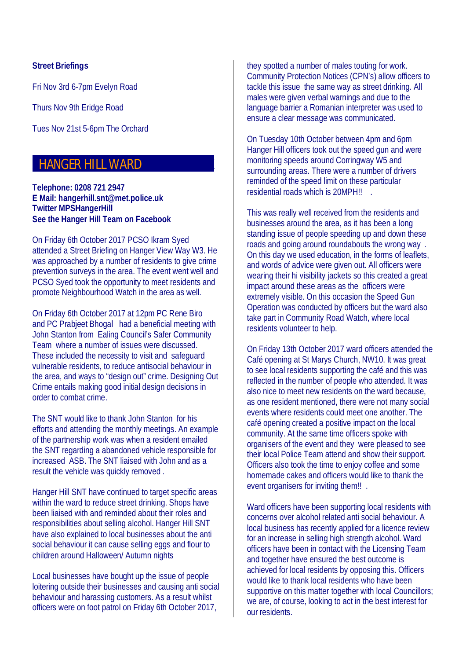#### **Street Briefings**

Fri Nov 3rd 6-7pm Evelyn Road

Thurs Nov 9th Eridge Road

Tues Nov 21st 5-6pm The Orchard

## HANGER HILL WARD

**Telephone: 0208 721 2947 E Mail: hangerhill.snt@met.police.uk Twitter MPSHangerHill See the Hanger Hill Team on Facebook**

On Friday 6th October 2017 PCSO Ikram Syed attended a Street Briefing on Hanger View Way W3. He was approached by a number of residents to give crime prevention surveys in the area. The event went well and PCSO Syed took the opportunity to meet residents and promote Neighbourhood Watch in the area as well.

On Friday 6th October 2017 at 12pm PC Rene Biro and PC Prabjeet Bhogal had a beneficial meeting with John Stanton from Ealing Council's Safer Community Team where a number of issues were discussed. These included the necessity to visit and safeguard vulnerable residents, to reduce antisocial behaviour in the area, and ways to "design out" crime. Designing Out Crime entails making good initial design decisions in order to combat crime.

The SNT would like to thank John Stanton for his efforts and attending the monthly meetings. An example of the partnership work was when a resident emailed the SNT regarding a abandoned vehicle responsible for increased ASB. The SNT liaised with John and as a result the vehicle was quickly removed .

Hanger Hill SNT have continued to target specific areas within the ward to reduce street drinking. Shops have been liaised with and reminded about their roles and responsibilities about selling alcohol. Hanger Hill SNT have also explained to local businesses about the anti social behaviour it can cause selling eggs and flour to children around Halloween/ Autumn nights

Local businesses have bought up the issue of people loitering outside their businesses and causing anti social behaviour and harassing customers. As a result whilst officers were on foot patrol on Friday 6th October 2017,

they spotted a number of males touting for work. Community Protection Notices (CPN's) allow officers to tackle this issue the same way as street drinking. All males were given verbal warnings and due to the language barrier a Romanian interpreter was used to ensure a clear message was communicated.

On Tuesday 10th October between 4pm and 6pm Hanger Hill officers took out the speed gun and were monitoring speeds around Corringway W5 and surrounding areas. There were a number of drivers reminded of the speed limit on these particular residential roads which is 20MPH!!

This was really well received from the residents and businesses around the area, as it has been a long standing issue of people speeding up and down these roads and going around roundabouts the wrong way . On this day we used education, in the forms of leaflets, and words of advice were given out. All officers were wearing their hi visibility jackets so this created a great impact around these areas as the officers were extremely visible. On this occasion the Speed Gun Operation was conducted by officers but the ward also take part in Community Road Watch, where local residents volunteer to help.

On Friday 13th October 2017 ward officers attended the Café opening at St Marys Church, NW10. It was great to see local residents supporting the café and this was reflected in the number of people who attended. It was also nice to meet new residents on the ward because, as one resident mentioned, there were not many social events where residents could meet one another. The café opening created a positive impact on the local community. At the same time officers spoke with organisers of the event and they were pleased to see their local Police Team attend and show their support. Officers also took the time to enjoy coffee and some homemade cakes and officers would like to thank the event organisers for inviting them!! .

Ward officers have been supporting local residents with concerns over alcohol related anti social behaviour. A local business has recently applied for a licence review for an increase in selling high strength alcohol. Ward officers have been in contact with the Licensing Team and together have ensured the best outcome is achieved for local residents by opposing this. Officers would like to thank local residents who have been supportive on this matter together with local Councillors; we are, of course, looking to act in the best interest for our residents.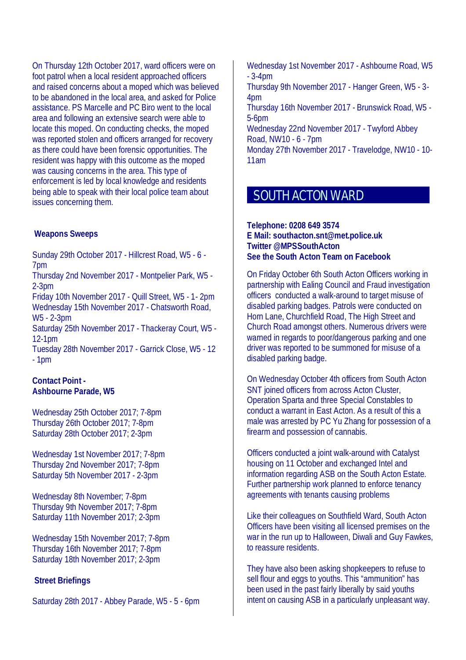On Thursday 12th October 2017, ward officers were on foot patrol when a local resident approached officers and raised concerns about a moped which was believed to be abandoned in the local area, and asked for Police assistance. PS Marcelle and PC Biro went to the local area and following an extensive search were able to locate this moped. On conducting checks, the moped was reported stolen and officers arranged for recovery as there could have been forensic opportunities. The resident was happy with this outcome as the moped was causing concerns in the area. This type of enforcement is led by local knowledge and residents being able to speak with their local police team about issues concerning them.

#### **Weapons Sweeps**

Sunday 29th October 2017 - Hillcrest Road, W5 - 6 - 7pm Thursday 2nd November 2017 - Montpelier Park, W5 -

2-3pm Friday 10th November 2017 - Quill Street, W5 - 1- 2pm

Wednesday 15th November 2017 - Chatsworth Road, W5 - 2-3pm

Saturday 25th November 2017 - Thackeray Court, W5 - 12-1pm

Tuesday 28th November 2017 - Garrick Close, W5 - 12 - 1pm

#### **Contact Point - Ashbourne Parade, W5**

Wednesday 25th October 2017; 7-8pm Thursday 26th October 2017; 7-8pm Saturday 28th October 2017; 2-3pm

Wednesday 1st November 2017; 7-8pm Thursday 2nd November 2017; 7-8pm Saturday 5th November 2017 - 2-3pm

Wednesday 8th November; 7-8pm Thursday 9th November 2017; 7-8pm Saturday 11th November 2017; 2-3pm

Wednesday 15th November 2017; 7-8pm Thursday 16th November 2017; 7-8pm Saturday 18th November 2017; 2-3pm

#### **Street Briefings**

Saturday 28th 2017 - Abbey Parade, W5 - 5 - 6pm

Wednesday 1st November 2017 - Ashbourne Road, W5 - 3-4pm Thursday 9th November 2017 - Hanger Green, W5 - 3- 4pm Thursday 16th November 2017 - Brunswick Road, W5 - 5-6pm

Wednesday 22nd November 2017 - Twyford Abbey Road, NW10 - 6 - 7pm

Monday 27th November 2017 - Travelodge, NW10 - 10- 11am

## SOUTH ACTON WARD

#### **Telephone: 0208 649 3574 E Mail: southacton.snt@met.police.uk Twitter @MPSSouthActon See the South Acton Team on Facebook**

On Friday October 6th South Acton Officers working in partnership with Ealing Council and Fraud investigation officers conducted a walk-around to target misuse of disabled parking badges. Patrols were conducted on Horn Lane, Churchfield Road, The High Street and Church Road amongst others. Numerous drivers were warned in regards to poor/dangerous parking and one driver was reported to be summoned for misuse of a disabled parking badge.

On Wednesday October 4th officers from South Acton SNT joined officers from across Acton Cluster, Operation Sparta and three Special Constables to conduct a warrant in East Acton. As a result of this a male was arrested by PC Yu Zhang for possession of a firearm and possession of cannabis.

Officers conducted a joint walk-around with Catalyst housing on 11 October and exchanged Intel and information regarding ASB on the South Acton Estate. Further partnership work planned to enforce tenancy agreements with tenants causing problems

Like their colleagues on Southfield Ward, South Acton Officers have been visiting all licensed premises on the war in the run up to Halloween, Diwali and Guy Fawkes, to reassure residents.

They have also been asking shopkeepers to refuse to sell flour and eggs to youths. This "ammunition" has been used in the past fairly liberally by said youths intent on causing ASB in a particularly unpleasant way.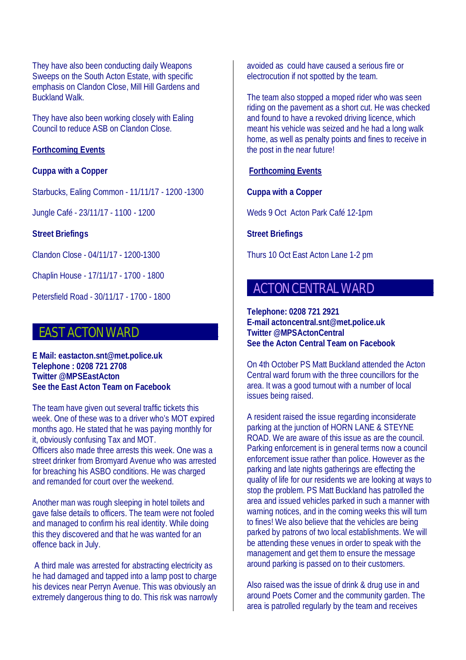They have also been conducting daily Weapons Sweeps on the South Acton Estate, with specific emphasis on Clandon Close, Mill Hill Gardens and Buckland Walk.

They have also been working closely with Ealing Council to reduce ASB on Clandon Close.

#### **Forthcoming Events**

#### **Cuppa with a Copper**

Starbucks, Ealing Common - 11/11/17 - 1200 -1300

Jungle Café - 23/11/17 - 1100 - 1200

**Street Briefings** 

Clandon Close - 04/11/17 - 1200-1300

Chaplin House - 17/11/17 - 1700 - 1800

Petersfield Road - 30/11/17 - 1700 - 1800

## **EAST ACTON WARD**

**E Mail: eastacton.snt@met.police.uk Telephone : 0208 721 2708 Twitter @MPSEastActon See the East Acton Team on Facebook**

The team have given out several traffic tickets this week. One of these was to a driver who's MOT expired months ago. He stated that he was paying monthly for it, obviously confusing Tax and MOT. Officers also made three arrests this week. One was a street drinker from Bromyard Avenue who was arrested for breaching his ASBO conditions. He was charged and remanded for court over the weekend.

Another man was rough sleeping in hotel toilets and gave false details to officers. The team were not fooled and managed to confirm his real identity. While doing this they discovered and that he was wanted for an offence back in July.

 A third male was arrested for abstracting electricity as he had damaged and tapped into a lamp post to charge his devices near Perryn Avenue. This was obviously an extremely dangerous thing to do. This risk was narrowly avoided as could have caused a serious fire or electrocution if not spotted by the team.

The team also stopped a moped rider who was seen riding on the pavement as a short cut. He was checked and found to have a revoked driving licence, which meant his vehicle was seized and he had a long walk home, as well as penalty points and fines to receive in the post in the near future!

#### **Forthcoming Events**

#### **Cuppa with a Copper**

Weds 9 Oct Acton Park Café 12-1pm

**Street Briefings** 

Thurs 10 Oct East Acton Lane 1-2 pm

## **ACTON CENTRAL WARD**

**Telephone: 0208 721 2921 E-mail actoncentral.snt@met.police.uk Twitter @MPSActonCentral See the Acton Central Team on Facebook**

On 4th October PS Matt Buckland attended the Acton Central ward forum with the three councillors for the area. It was a good turnout with a number of local issues being raised.

A resident raised the issue regarding inconsiderate parking at the junction of HORN LANE & STEYNE ROAD. We are aware of this issue as are the council. Parking enforcement is in general terms now a council enforcement issue rather than police. However as the parking and late nights gatherings are effecting the quality of life for our residents we are looking at ways to stop the problem. PS Matt Buckland has patrolled the area and issued vehicles parked in such a manner with warning notices, and in the coming weeks this will turn to fines! We also believe that the vehicles are being parked by patrons of two local establishments. We will be attending these venues in order to speak with the management and get them to ensure the message around parking is passed on to their customers.

Also raised was the issue of drink & drug use in and around Poets Corner and the community garden. The area is patrolled regularly by the team and receives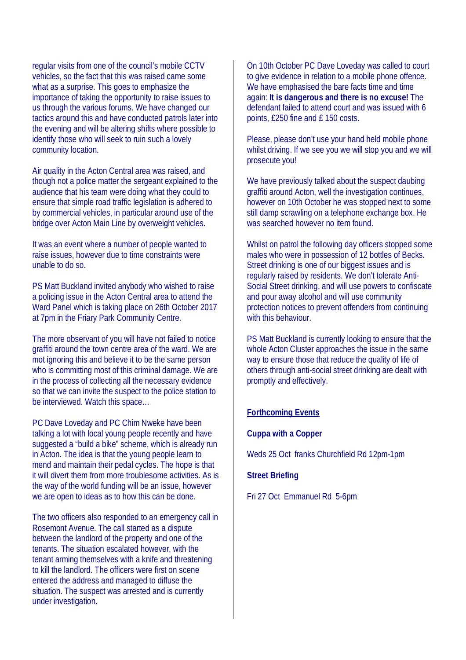regular visits from one of the council's mobile CCTV vehicles, so the fact that this was raised came some what as a surprise. This goes to emphasize the importance of taking the opportunity to raise issues to us through the various forums. We have changed our tactics around this and have conducted patrols later into the evening and will be altering shifts where possible to identify those who will seek to ruin such a lovely community location.

Air quality in the Acton Central area was raised, and though not a police matter the sergeant explained to the audience that his team were doing what they could to ensure that simple road traffic legislation is adhered to by commercial vehicles, in particular around use of the bridge over Acton Main Line by overweight vehicles.

It was an event where a number of people wanted to raise issues, however due to time constraints were unable to do so.

PS Matt Buckland invited anybody who wished to raise a policing issue in the Acton Central area to attend the Ward Panel which is taking place on 26th October 2017 at 7pm in the Friary Park Community Centre.

The more observant of you will have not failed to notice graffiti around the town centre area of the ward. We are mot ignoring this and believe it to be the same person who is committing most of this criminal damage. We are in the process of collecting all the necessary evidence so that we can invite the suspect to the police station to be interviewed. Watch this space…

PC Dave Loveday and PC Chim Nweke have been talking a lot with local young people recently and have suggested a "build a bike" scheme, which is already run in Acton. The idea is that the young people learn to mend and maintain their pedal cycles. The hope is that it will divert them from more troublesome activities. As is the way of the world funding will be an issue, however we are open to ideas as to how this can be done.

The two officers also responded to an emergency call in Rosemont Avenue. The call started as a dispute between the landlord of the property and one of the tenants. The situation escalated however, with the tenant arming themselves with a knife and threatening to kill the landlord. The officers were first on scene entered the address and managed to diffuse the situation. The suspect was arrested and is currently under investigation.

On 10th October PC Dave Loveday was called to court to give evidence in relation to a mobile phone offence. We have emphasised the bare facts time and time again: **It is dangerous and there is no excuse!** The defendant failed to attend court and was issued with 6 points, £250 fine and £ 150 costs.

Please, please don't use your hand held mobile phone whilst driving. If we see you we will stop you and we will prosecute you!

We have previously talked about the suspect daubing graffiti around Acton, well the investigation continues, however on 10th October he was stopped next to some still damp scrawling on a telephone exchange box. He was searched however no item found.

Whilst on patrol the following day officers stopped some males who were in possession of 12 bottles of Becks. Street drinking is one of our biggest issues and is regularly raised by residents. We don't tolerate Anti-Social Street drinking, and will use powers to confiscate and pour away alcohol and will use community protection notices to prevent offenders from continuing with this behaviour.

PS Matt Buckland is currently looking to ensure that the whole Acton Cluster approaches the issue in the same way to ensure those that reduce the quality of life of others through anti-social street drinking are dealt with promptly and effectively.

#### **Forthcoming Events**

#### **Cuppa with a Copper**

Weds 25 Oct franks Churchfield Rd 12pm-1pm

#### **Street Briefing**

Fri 27 Oct Emmanuel Rd 5-6pm